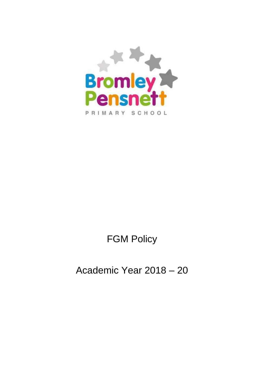

# FGM Policy

## Academic Year 2018 – 20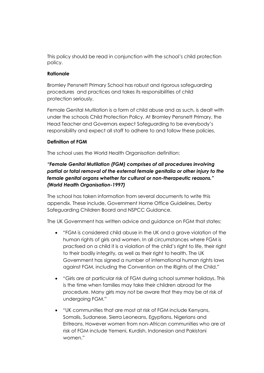This policy should be read in conjunction with the school's child protection policy.

#### **Rationale**

Bromley Pensnett Primary School has robust and rigorous safeguarding procedures and practices and takes its responsibilities of child protection seriously.

Female Genital Mutilation is a form of child abuse and as such, is dealt with under the schools Child Protection Policy. At Bromley Pensnett Primary, the Head Teacher and Governors expect Safeguarding to be everybody's responsibility and expect all staff to adhere to and follow these policies.

#### **Definition of FGM**

The school uses the World Health Organisation definition:

## *"Female Genital Mutilation (FGM) comprises of all procedures involving partial or total removal of the external female genitalia or other injury to the female genital organs whether for cultural or non-therapeutic reasons." (World Health Organisation-1997)*

The school has taken information from several documents to write this appendix. These include, Government Home Office Guidelines, Derby Safeguarding Children Board and NSPCC Guidance.

The UK Government has written advice and guidance on FGM that states:

- "FGM is considered child abuse in the UK and a grave violation of the human rights of girls and women. In all circumstances where FGM is practised on a child it is a violation of the child's right to life, their right to their bodily integrity, as well as their right to health. The UK Government has signed a number of international human rights laws against FGM, including the Convention on the Rights of the Child."
- "Girls are at particular risk of FGM during school summer holidays. This is the time when families may take their children abroad for the procedure. Many girls may not be aware that they may be at risk of undergoing FGM."
- "UK communities that are most at risk of FGM include Kenyans, Somalis, Sudanese, Sierra Leoneans, Egyptians, Nigerians and Eritreans. However women from non-African communities who are at risk of FGM include Yemeni, Kurdish, Indonesian and Pakistani women."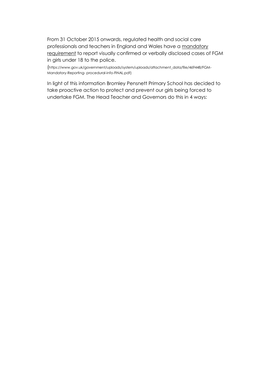From 31 October 2015 onwards, regulated health and social care professionals and teachers in England and Wales have a mandatory requirement to report visually confirmed or verbally disclosed cases of FGM in girls under 18 to the police.

(https:[//www.gov.uk/government/uploads/system/uploads/attachment\\_data/file/469448/FGM-](http://www.gov.uk/government/uploads/system/uploads/attachment_data/file/469448/FGM-Mandatory-Reporting-)[Mandatory-Reporting-](http://www.gov.uk/government/uploads/system/uploads/attachment_data/file/469448/FGM-Mandatory-Reporting-) procedural-info-FINAL.pdf)

In light of this information Bromley Pensnett Primary School has decided to take proactive action to protect and prevent our girls being forced to undertake FGM. The Head Teacher and Governors do this in 4 ways: